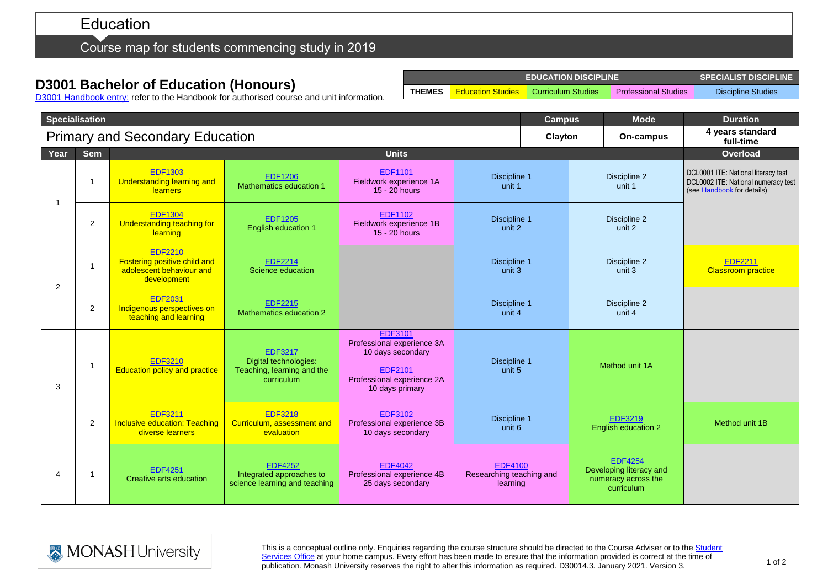# Education

## Course map for students commencing study in 2019

# **D3001 Bachelor of Education (Honours)**

|               | <b>EDUCATION DISCIPLINE</b> | SPECIALIST DISCIPLINE                         |                             |                    |
|---------------|-----------------------------|-----------------------------------------------|-----------------------------|--------------------|
| <b>THEMES</b> |                             | <b>Education Studies   Curriculum Studies</b> | <b>Professional Studies</b> | Discipline Studies |

D3001 [Handbook entry:](http://www.monash.edu.au/pubs/2019handbooks/courses/D3001.html) refer to the Handbook for authorised course and unit information.

| <b>Specialisation</b>                  |                |                                                                                           |                                                                                     | <b>Campus</b>                                                                                                                        | <b>Mode</b>                                            | <b>Duration</b> |                                                                                |                                                                                                          |
|----------------------------------------|----------------|-------------------------------------------------------------------------------------------|-------------------------------------------------------------------------------------|--------------------------------------------------------------------------------------------------------------------------------------|--------------------------------------------------------|-----------------|--------------------------------------------------------------------------------|----------------------------------------------------------------------------------------------------------|
| <b>Primary and Secondary Education</b> |                |                                                                                           |                                                                                     |                                                                                                                                      | Clayton                                                | On-campus       | 4 years standard<br>full-time                                                  |                                                                                                          |
| Year                                   | <b>Sem</b>     | <b>Units</b>                                                                              |                                                                                     |                                                                                                                                      |                                                        |                 |                                                                                | Overload                                                                                                 |
| -1                                     | -1             | <b>EDF1303</b><br><b>Understanding learning and</b><br>learners                           | <b>EDF1206</b><br>Mathematics education 1                                           | <b>EDF1101</b><br>Fieldwork experience 1A<br>15 - 20 hours                                                                           | Discipline 1<br>unit 1                                 |                 | Discipline 2<br>unit 1                                                         | DCL0001 ITE: National literacy test<br>DCL0002 ITE: National numeracy test<br>(see Handbook for details) |
|                                        | 2              | <b>EDF1304</b><br>Understanding teaching for<br>learning                                  | <b>EDF1205</b><br>English education 1                                               | <b>EDF1102</b><br>Fieldwork experience 1B<br>15 - 20 hours                                                                           | Discipline 1<br>unit 2                                 |                 | Discipline 2<br>unit 2                                                         |                                                                                                          |
| 2                                      | -1             | <b>EDF2210</b><br>Fostering positive child and<br>adolescent behaviour and<br>development | <b>EDF2214</b><br>Science education                                                 |                                                                                                                                      | Discipline 1<br>unit 3                                 |                 | Discipline 2<br>unit 3                                                         | <b>EDF2211</b><br><b>Classroom practice</b>                                                              |
|                                        | $\overline{2}$ | <b>EDF2031</b><br>Indigenous perspectives on<br>teaching and learning                     | <b>EDF2215</b><br>Mathematics education 2                                           |                                                                                                                                      | Discipline 1<br>unit 4                                 |                 | Discipline 2<br>unit 4                                                         |                                                                                                          |
| 3                                      | -1             | <b>EDF3210</b><br><b>Education policy and practice</b>                                    | <b>EDF3217</b><br>Digital technologies:<br>Teaching, learning and the<br>curriculum | <b>EDF3101</b><br>Professional experience 3A<br>10 days secondary<br><b>EDF2101</b><br>Professional experience 2A<br>10 days primary | Discipline 1<br>unit 5                                 |                 | Method unit 1A                                                                 |                                                                                                          |
|                                        | $\overline{2}$ | <b>EDF3211</b><br><b>Inclusive education: Teaching</b><br>diverse learners                | <b>EDF3218</b><br>Curriculum, assessment and<br>evaluation                          | <b>EDF3102</b><br>Professional experience 3B<br>10 days secondary                                                                    | Discipline 1<br>unit 6                                 |                 | <b>EDF3219</b><br>English education 2                                          | Method unit 1B                                                                                           |
| 4                                      |                | <b>EDF4251</b><br>Creative arts education                                                 | <b>EDF4252</b><br>Integrated approaches to<br>science learning and teaching         | <b>EDF4042</b><br>Professional experience 4B<br>25 days secondary                                                                    | <b>EDF4100</b><br>Researching teaching and<br>learning |                 | <b>EDF4254</b><br>Developing literacy and<br>numeracy across the<br>curriculum |                                                                                                          |

This is a conceptual outline only. Enquiries regarding the course structure should be directed to the Course Adviser or to the Student [Services Office](https://www.monash.edu/education/current-students/contact) at your home campus. Every effort has been made to ensure that the information provided is correct at the time of publication. Monash University reserves the right to alter this information as required. D30014.3. January 2021. Version 3.